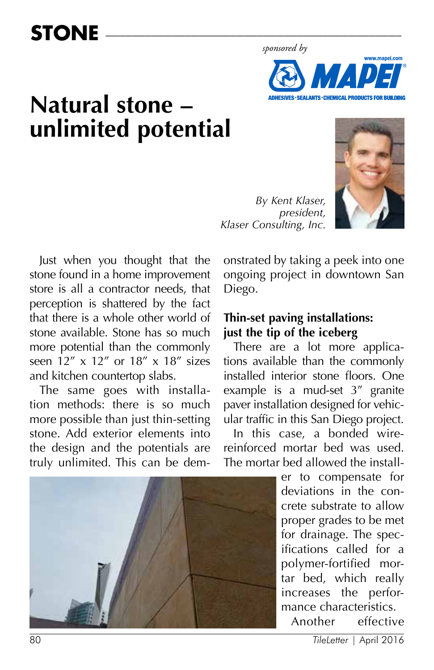*sponsored by* 



# **Natural stone – unlimited potential**



*By Kent Klaser, president, Klaser Consulting, Inc.*

Just when you thought that the stone found in a home improvement store is all a contractor needs, that perception is shattered by the fact that there is a whole other world of stone available. Stone has so much more potential than the commonly seen 12" x 12" or 18" x 18" sizes and kitchen countertop slabs.

The same goes with installation methods: there is so much more possible than just thin-setting stone. Add exterior elements into the design and the potentials are truly unlimited. This can be demonstrated by taking a peek into one ongoing project in downtown San Diego.

#### **Thin-set paving installations: just the tip of the iceberg**

There are a lot more applications available than the commonly installed interior stone floors. One example is a mud-set 3" granite paver installation designed for vehicular traffic in this San Diego project.

In this case, a bonded wirereinforced mortar bed was used. The mortar bed allowed the install-

> er to compensate for deviations in the concrete substrate to allow proper grades to be met for drainage. The specifications called for a polymer-fortified mortar bed, which really increases the performance characteristics.

Another effective

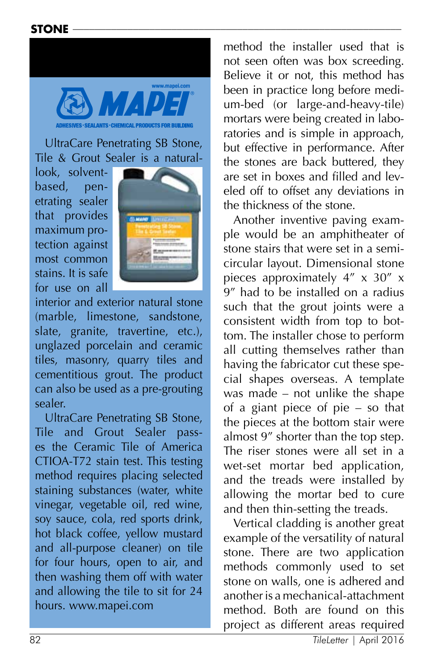

UltraCare Penetrating SB Stone, Tile & Grout Sealer is a natural-

look, solventbased, penetrating sealer that provides maximum protection against most common stains. It is safe for use on all



interior and exterior natural stone (marble, limestone, sandstone, slate, granite, travertine, etc.), unglazed porcelain and ceramic tiles, masonry, quarry tiles and cementitious grout. The product can also be used as a pre-grouting sealer.

UltraCare Penetrating SB Stone, Tile and Grout Sealer passes the Ceramic Tile of America CTIOA-T72 stain test. This testing method requires placing selected staining substances (water, white vinegar, vegetable oil, red wine, soy sauce, cola, red sports drink, hot black coffee, yellow mustard and all-purpose cleaner) on tile for four hours, open to air, and then washing them off with water and allowing the tile to sit for 24 hours. www.mapei.com

method the installer used that is not seen often was box screeding. Believe it or not, this method has been in practice long before medium-bed (or large-and-heavy-tile) mortars were being created in laboratories and is simple in approach, but effective in performance. After the stones are back buttered, they are set in boxes and filled and leveled off to offset any deviations in the thickness of the stone.

Another inventive paving example would be an amphitheater of stone stairs that were set in a semicircular layout. Dimensional stone pieces approximately 4" x 30" x 9" had to be installed on a radius such that the grout joints were a consistent width from top to bottom. The installer chose to perform all cutting themselves rather than having the fabricator cut these special shapes overseas. A template was made – not unlike the shape of a giant piece of pie – so that the pieces at the bottom stair were almost 9" shorter than the top step. The riser stones were all set in a wet-set mortar bed application, and the treads were installed by allowing the mortar bed to cure and then thin-setting the treads.

Vertical cladding is another great example of the versatility of natural stone. There are two application methods commonly used to set stone on walls, one is adhered and another is a mechanical-attachment method. Both are found on this project as different areas required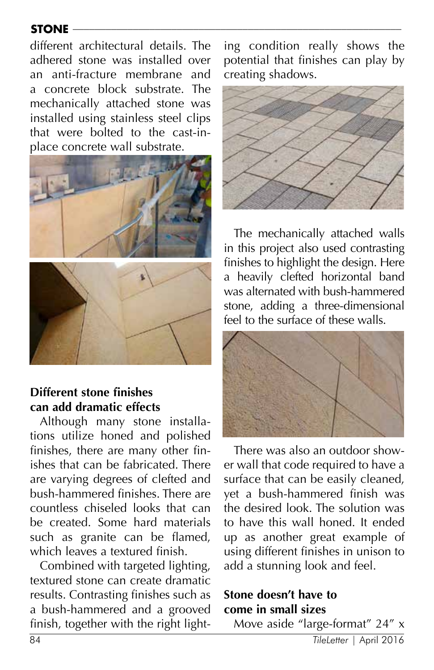## **STONE** ––––––––––––––––––––––––––––––––––––––––––––––––––––––––––––

different architectural details. The adhered stone was installed over an anti-fracture membrane and a concrete block substrate. The mechanically attached stone was installed using stainless steel clips that were bolted to the cast-inplace concrete wall substrate.



### **Different stone finishes can add dramatic effects**

Although many stone installations utilize honed and polished finishes, there are many other finishes that can be fabricated. There are varying degrees of clefted and bush-hammered finishes. There are countless chiseled looks that can be created. Some hard materials such as granite can be flamed, which leaves a textured finish.

Combined with targeted lighting, textured stone can create dramatic results. Contrasting finishes such as a bush-hammered and a grooved finish, together with the right lighting condition really shows the potential that finishes can play by creating shadows.



The mechanically attached walls in this project also used contrasting finishes to highlight the design. Here a heavily clefted horizontal band was alternated with bush-hammered stone, adding a three-dimensional feel to the surface of these walls.



There was also an outdoor shower wall that code required to have a surface that can be easily cleaned, yet a bush-hammered finish was the desired look. The solution was to have this wall honed. It ended up as another great example of using different finishes in unison to add a stunning look and feel.

## **Stone doesn't have to come in small sizes**

Move aside "large-format" 24" x